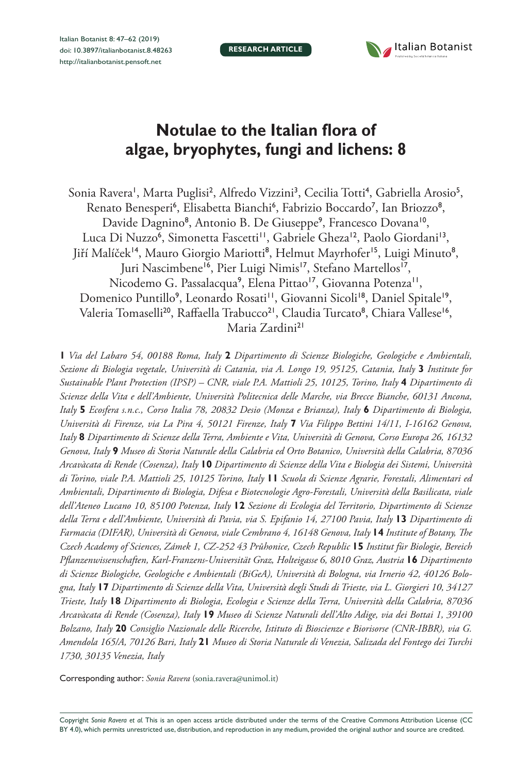**RESEARCH ARTICLE**



# **Notulae to the Italian flora of algae, bryophytes, fungi and lichens: 8**

Sonia Ravera', Marta Puglisi<sup>2</sup>, Alfredo Vizzini<sup>3</sup>, Cecilia Totti<sup>4</sup>, Gabriella Arosio<sup>5</sup>, Renato Benesperi<sup>6</sup>, Elisabetta Bianchi<sup>6</sup>, Fabrizio Boccardo<sup>7</sup>, Ian Briozzo<sup>8</sup>, Davide Dagnino<sup>8</sup>, Antonio B. De Giuseppe<sup>9</sup>, Francesco Dovana<sup>10</sup>, Luca Di Nuzzo<sup>6</sup>, Simonetta Fascetti<sup>11</sup>, Gabriele Gheza<sup>12</sup>, Paolo Giordani<sup>13</sup>, Jiří Malíček<sup>14</sup>, Mauro Giorgio Mariotti<sup>8</sup>, Helmut Mayrhofer<sup>15</sup>, Luigi Minuto<sup>8</sup>, Juri Nascimbene<sup>16</sup>, Pier Luigi Nimis<sup>17</sup>, Stefano Martellos<sup>17</sup>, Nicodemo G. Passalacqua<sup>9</sup>, Elena Pittao'<sup>7</sup>, Giovanna Potenza'', Domenico Puntillo<sup>9</sup>, Leonardo Rosati'', Giovanni Sicoli'<sup>8</sup>, Daniel Spitale'<sup>9</sup>, Valeria Tomaselli<sup>20</sup>, Raffaella Trabucco<sup>21</sup>, Claudia Turcato<sup>8</sup>, Chiara Vallese<sup>16</sup>, Maria Zardini<sup>21</sup>

**1** *Via del Labaro 54, 00188 Roma, Italy* **2** *Dipartimento di Scienze Biologiche, Geologiche e Ambientali, Sezione di Biologia vegetale, Università di Catania, via A. Longo 19, 95125, Catania, Italy* **3** *Institute for Sustainable Plant Protection (IPSP) – CNR, viale P.A. Mattioli 25, 10125, Torino, Italy 4 Dipartimento di Scienze della Vita e dell'Ambiente, Università Politecnica delle Marche, via Brecce Bianche, 60131 Ancona, Italy* **5** *Ecosfera s.n.c., Corso Italia 78, 20832 Desio (Monza e Brianza), Italy* **6** *Dipartimento di Biologia, Università di Firenze, via La Pira 4, 50121 Firenze, Italy* **7** *Via Filippo Bettini 14/11, I-16162 Genova, Italy* **8** *Dipartimento di Scienze della Terra, Ambiente e Vita, Università di Genova, Corso Europa 26, 16132 Genova, Italy* **9** *Museo di Storia Naturale della Calabria ed Orto Botanico, Università della Calabria, 87036 Arcavàcata di Rende (Cosenza), Italy* **10** *Dipartimento di Scienze della Vita e Biologia dei Sistemi, Università di Torino, viale P.A. Mattioli 25, 10125 Torino, Italy* **11** *Scuola di Scienze Agrarie, Forestali, Alimentari ed Ambientali, Dipartimento di Biologia, Difesa e Biotecnologie Agro-Forestali, Università della Basilicata, viale dell'Ateneo Lucano 10, 85100 Potenza, Italy* **12** *Sezione di Ecologia del Territorio, Dipartimento di Scienze della Terra e dell'Ambiente, Università di Pavia, via S. Epifanio 14, 27100 Pavia, Italy* **13** *Dipartimento di Farmacia (DIFAR), Università di Genova, viale Cembrano 4, 16148 Genova, Italy* **14** *Institute of Botany, The Czech Academy of Sciences, Zámek 1, CZ-252 43 Průhonice, Czech Republic* **15** *Institut für Biologie, Bereich Pflanzenwissenschaften, Karl-Franzens-Universität Graz, Holteigasse 6, 8010 Graz, Austria* **16** *Dipartimento di Scienze Biologiche, Geologiche e Ambientali (BiGeA), Università di Bologna, via Irnerio 42, 40126 Bologna, Italy* **17** *Dipartimento di Scienze della Vita, Università degli Studi di Trieste, via L. Giorgieri 10, 34127 Trieste, Italy* **18** *Dipartimento di Biologia, Ecologia e Scienze della Terra, Università della Calabria, 87036 Arcavàcata di Rende (Cosenza), Italy* **19** *Museo di Scienze Naturali dell'Alto Adige, via dei Bottai 1, 39100 Bolzano, Italy* **20** *Consiglio Nazionale delle Ricerche, Istituto di Bioscienze e Biorisorse (CNR-IBBR), via G. Amendola 165/A, 70126 Bari, Italy* **21** *Museo di Storia Naturale di Venezia, Salizada del Fontego dei Turchi 1730, 30135 Venezia, Italy*

Corresponding author: *Sonia Ravera* ([sonia.ravera@unimol.it](mailto:sonia.ravera@unimol.it))

Copyright *Sonia Ravera et al.* This is an open access article distributed under the terms of the [Creative Commons Attribution License \(CC](http://creativecommons.org/licenses/by/4.0/)  [BY 4.0\)](http://creativecommons.org/licenses/by/4.0/), which permits unrestricted use, distribution, and reproduction in any medium, provided the original author and source are credited.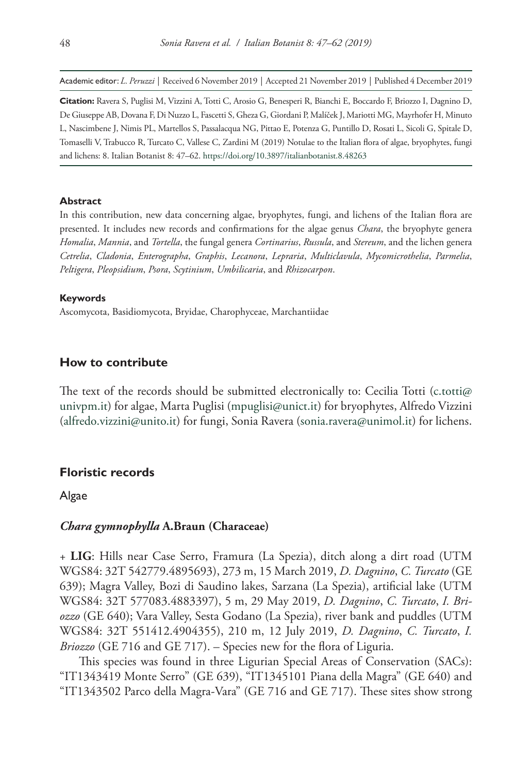Academic editor: *L. Peruzzi* | Received 6 November 2019 | Accepted 21 November 2019 | Published 4 December 2019

**Citation:** Ravera S, Puglisi M, Vizzini A, Totti C, Arosio G, Benesperi R, Bianchi E, Boccardo F, Briozzo I, Dagnino D, De Giuseppe AB, Dovana F, Di Nuzzo L, Fascetti S, Gheza G, Giordani P, Malíček J, Mariotti MG, Mayrhofer H, Minuto L, Nascimbene J, Nimis PL, Martellos S, Passalacqua NG, Pittao E, Potenza G, Puntillo D, Rosati L, Sicoli G, Spitale D, Tomaselli V, Trabucco R, Turcato C, Vallese C, Zardini M (2019) Notulae to the Italian flora of algae, bryophytes, fungi and lichens: 8. Italian Botanist 8: 47–62.<https://doi.org/10.3897/italianbotanist.8.48263>

#### **Abstract**

In this contribution, new data concerning algae, bryophytes, fungi, and lichens of the Italian flora are presented. It includes new records and confirmations for the algae genus *Chara*, the bryophyte genera *Homalia*, *Mannia*, and *Tortella*, the fungal genera *Cortinarius*, *Russula*, and *Stereum*, and the lichen genera *Cetrelia*, *Cladonia*, *Enterographa*, *Graphis*, *Lecanora*, *Lepraria*, *Multiclavula*, *Mycomicrothelia*, *Parmelia*, *Peltigera*, *Pleopsidium*, *Psora*, *Scytinium*, *Umbilicaria*, and *Rhizocarpon*.

#### **Keywords**

Ascomycota, Basidiomycota, Bryidae, Charophyceae, Marchantiidae

## **How to contribute**

The text of the records should be submitted electronically to: Cecilia Totti [\(c.totti@](mailto:c.totti@univpm.it)) [univpm.it\)](mailto:c.totti@univpm.it) for algae, Marta Puglisi [\(mpuglisi@unict.it](mailto:mpuglisi@unict.it)) for bryophytes, Alfredo Vizzini ([alfredo.vizzini@unito.it](mailto:alfredo.vizzini@unito.it)) for fungi, Sonia Ravera [\(sonia.ravera@unimol.it\)](mailto:sonia.ravera@unimol.it) for lichens.

## **Floristic records**

Algae

## *Chara gymnophylla* **A.Braun (Characeae)**

+ **LIG**: Hills near Case Serro, Framura (La Spezia), ditch along a dirt road (UTM WGS84: 32T 542779.4895693), 273 m, 15 March 2019, *D. Dagnino*, *C. Turcato* (GE 639); Magra Valley, Bozi di Saudino lakes, Sarzana (La Spezia), artificial lake (UTM WGS84: 32T 577083.4883397), 5 m, 29 May 2019, *D. Dagnino*, *C. Turcato*, *I. Briozzo* (GE 640); Vara Valley, Sesta Godano (La Spezia), river bank and puddles (UTM WGS84: 32T 551412.4904355), 210 m, 12 July 2019, *D. Dagnino*, *C. Turcato*, *I. Briozzo* (GE 716 and GE 717). – Species new for the flora of Liguria.

This species was found in three Ligurian Special Areas of Conservation (SACs): "IT1343419 Monte Serro" (GE 639), "IT1345101 Piana della Magra" (GE 640) and "IT1343502 Parco della Magra-Vara" (GE 716 and GE 717). These sites show strong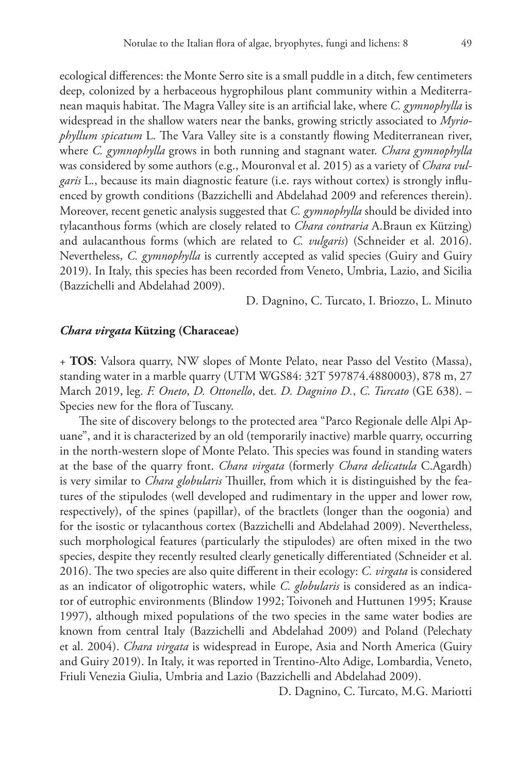ecological differences: the Monte Serro site is a small puddle in a ditch, few centimeters deep, colonized by a herbaceous hygrophilous plant community within a Mediterranean maquis habitat. The Magra Valley site is an artificial lake, where *C. gymnophylla* is widespread in the shallow waters near the banks, growing strictly associated to *Myriophyllum spicatum* L. The Vara Valley site is a constantly flowing Mediterranean river, where *C. gymnophylla* grows in both running and stagnant water. *Chara gymnophylla* was considered by some authors (e.g., Mouronval et al. 2015) as a variety of *Chara vulgaris* L., because its main diagnostic feature (i.e. rays without cortex) is strongly influenced by growth conditions (Bazzichelli and Abdelahad 2009 and references therein). Moreover, recent genetic analysis suggested that *C. gymnophylla* should be divided into tylacanthous forms (which are closely related to *Chara contraria* A.Braun ex Kützing) and aulacanthous forms (which are related to *C. vulgaris*) (Schneider et al. 2016). Nevertheless, *C. gymnophylla* is currently accepted as valid species (Guiry and Guiry 2019). In Italy, this species has been recorded from Veneto, Umbria, Lazio, and Sicilia (Bazzichelli and Abdelahad 2009).

D. Dagnino, C. Turcato, I. Briozzo, L. Minuto

## *Chara virgata* **Kützing (Characeae)**

+ **TOS**: Valsora quarry, NW slopes of Monte Pelato, near Passo del Vestito (Massa), standing water in a marble quarry (UTM WGS84: 32T 597874.4880003), 878 m, 27 March 2019, leg. *F. Oneto*, *D. Ottonello*, det*. D. Dagnino D.*, *C. Turcato* (GE 638). – Species new for the flora of Tuscany.

The site of discovery belongs to the protected area "Parco Regionale delle Alpi Apuane", and it is characterized by an old (temporarily inactive) marble quarry, occurring in the north-western slope of Monte Pelato. This species was found in standing waters at the base of the quarry front. *Chara virgata* (formerly *Chara delicatula* C.Agardh) is very similar to *Chara globularis* Thuiller, from which it is distinguished by the features of the stipulodes (well developed and rudimentary in the upper and lower row, respectively), of the spines (papillar), of the bractlets (longer than the oogonia) and for the isostic or tylacanthous cortex (Bazzichelli and Abdelahad 2009). Nevertheless, such morphological features (particularly the stipulodes) are often mixed in the two species, despite they recently resulted clearly genetically differentiated (Schneider et al. 2016). The two species are also quite different in their ecology: *C. virgata* is considered as an indicator of oligotrophic waters, while *C. globularis* is considered as an indicator of eutrophic environments (Blindow 1992; Toivoneh and Huttunen 1995; Krause 1997), although mixed populations of the two species in the same water bodies are known from central Italy (Bazzichelli and Abdelahad 2009) and Poland (Pelechaty et al. 2004). *Chara virgata* is widespread in Europe, Asia and North America (Guiry and Guiry 2019). In Italy, it was reported in Trentino-Alto Adige, Lombardia, Veneto, Friuli Venezia Giulia, Umbria and Lazio (Bazzichelli and Abdelahad 2009).

D. Dagnino, C. Turcato, M.G. Mariotti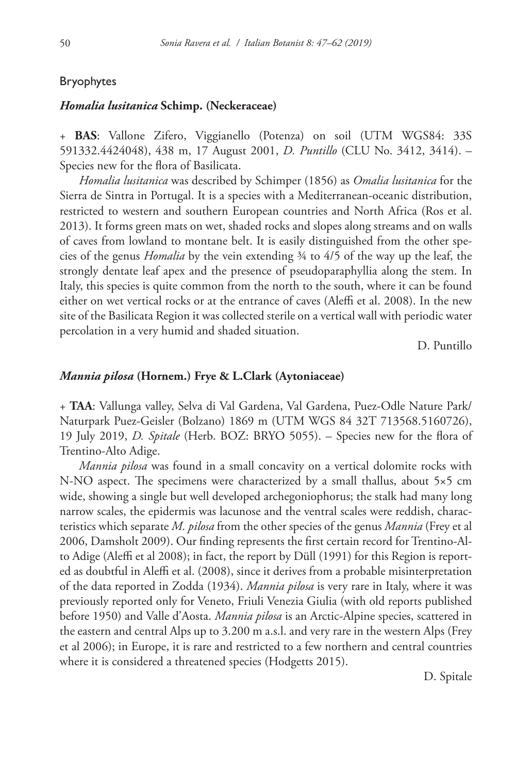## Bryophytes

#### *Homalia lusitanica* **Schimp. (Neckeraceae)**

+ **BAS**: Vallone Zifero, Viggianello (Potenza) on soil (UTM WGS84: 33S 591332.4424048), 438 m, 17 August 2001, *D. Puntillo* (CLU No. 3412, 3414). – Species new for the flora of Basilicata.

*Homalia lusitanica* was described by Schimper (1856) as *Omalia lusitanica* for the Sierra de Sintra in Portugal. It is a species with a Mediterranean-oceanic distribution, restricted to western and southern European countries and North Africa (Ros et al. 2013). It forms green mats on wet, shaded rocks and slopes along streams and on walls of caves from lowland to montane belt. It is easily distinguished from the other species of the genus *Homalia* by the vein extending ¾ to 4/5 of the way up the leaf, the strongly dentate leaf apex and the presence of pseudoparaphyllia along the stem. In Italy, this species is quite common from the north to the south, where it can be found either on wet vertical rocks or at the entrance of caves (Aleffi et al. 2008). In the new site of the Basilicata Region it was collected sterile on a vertical wall with periodic water percolation in a very humid and shaded situation.

D. Puntillo

#### *Mannia pilosa* **(Hornem.) Frye & L.Clark (Aytoniaceae)**

+ **TAA**: Vallunga valley, Selva di Val Gardena, Val Gardena, Puez-Odle Nature Park/ Naturpark Puez-Geisler (Bolzano) 1869 m (UTM WGS 84 32T 713568.5160726), 19 July 2019, *D. Spitale* (Herb. BOZ: BRYO 5055). – Species new for the flora of Trentino-Alto Adige.

*Mannia pilosa* was found in a small concavity on a vertical dolomite rocks with N-NO aspect. The specimens were characterized by a small thallus, about 5×5 cm wide, showing a single but well developed archegoniophorus; the stalk had many long narrow scales, the epidermis was lacunose and the ventral scales were reddish, characteristics which separate *M. pilosa* from the other species of the genus *Mannia* (Frey et al 2006, Damsholt 2009). Our finding represents the first certain record for Trentino-Alto Adige (Aleffi et al 2008); in fact, the report by Düll (1991) for this Region is reported as doubtful in Aleffi et al. (2008), since it derives from a probable misinterpretation of the data reported in Zodda (1934). *Mannia pilosa* is very rare in Italy, where it was previously reported only for Veneto, Friuli Venezia Giulia (with old reports published before 1950) and Valle d'Aosta. *Mannia pilosa* is an Arctic-Alpine species, scattered in the eastern and central Alps up to 3.200 m a.s.l. and very rare in the western Alps (Frey et al 2006); in Europe, it is rare and restricted to a few northern and central countries where it is considered a threatened species (Hodgetts 2015).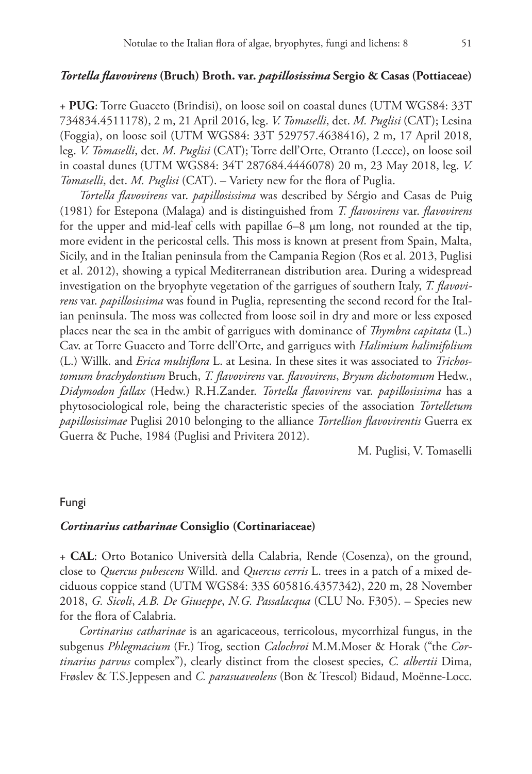## *Tortella flavovirens* **(Bruch) Broth. var.** *papillosissima* **Sergio & Casas (Pottiaceae)**

+ **PUG**: Torre Guaceto (Brindisi), on loose soil on coastal dunes (UTM WGS84: 33T 734834.4511178), 2 m, 21 April 2016, leg. *V. Tomaselli*, det. *M. Puglisi* (CAT); Lesina (Foggia), on loose soil (UTM WGS84: 33T 529757.4638416), 2 m, 17 April 2018, leg. *V. Tomaselli*, det. *M. Puglisi* (CAT); Torre dell'Orte, Otranto (Lecce), on loose soil in coastal dunes (UTM WGS84: 34T 287684.4446078) 20 m, 23 May 2018, leg. *V. Tomaselli*, det. *M. Puglisi* (CAT). – Variety new for the flora of Puglia.

*Tortella flavovirens* var. *papillosissima* was described by Sérgio and Casas de Puig (1981) for Estepona (Malaga) and is distinguished from *T. flavovirens* var. *flavovirens* for the upper and mid-leaf cells with papillae 6–8 μm long, not rounded at the tip, more evident in the pericostal cells. This moss is known at present from Spain, Malta, Sicily, and in the Italian peninsula from the Campania Region (Ros et al. 2013, Puglisi et al. 2012), showing a typical Mediterranean distribution area. During a widespread investigation on the bryophyte vegetation of the garrigues of southern Italy, *T. flavovirens* var. *papillosissima* was found in Puglia, representing the second record for the Italian peninsula. The moss was collected from loose soil in dry and more or less exposed places near the sea in the ambit of garrigues with dominance of *Thymbra capitata* (L.) Cav. at Torre Guaceto and Torre dell'Orte, and garrigues with *Halimium halimifolium* (L.) Willk. and *Erica multiflora* L. at Lesina. In these sites it was associated to *Trichostomum brachydontium* Bruch, *T. flavovirens* var. *flavovirens*, *Bryum dichotomum* Hedw., *Didymodon fallax* (Hedw.) R.H.Zander. *Tortella flavovirens* var. *papillosissima* has a phytosociological role, being the characteristic species of the association *Tortelletum papillosissimae* Puglisi 2010 belonging to the alliance *Tortellion flavovirentis* Guerra ex Guerra & Puche, 1984 (Puglisi and Privitera 2012).

M. Puglisi, V. Tomaselli

#### Fungi

## *Cortinarius catharinae* **Consiglio (Cortinariaceae)**

+ **CAL**: Orto Botanico Università della Calabria, Rende (Cosenza), on the ground, close to *Quercus pubescens* Willd. and *Quercus cerris* L. trees in a patch of a mixed deciduous coppice stand (UTM WGS84: 33S 605816.4357342), 220 m, 28 November 2018, *G. Sicoli*, *A.B. De Giuseppe*, *N.G. Passalacqua* (CLU No. F305). – Species new for the flora of Calabria.

*Cortinarius catharinae* is an agaricaceous, terricolous, mycorrhizal fungus, in the subgenus *Phlegmacium* (Fr.) Trog, section *Calochroi* M.M.Moser & Horak ("the *Cortinarius parvus* complex"), clearly distinct from the closest species, *C. albertii* Dima, Frøslev & T.S.Jeppesen and *C. parasuaveolens* (Bon & Trescol) Bidaud, Moënne-Locc.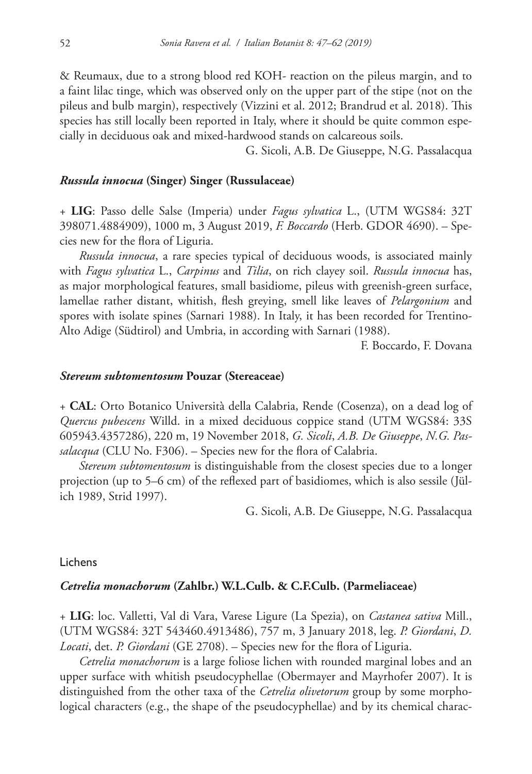& Reumaux, due to a strong blood red KOH- reaction on the pileus margin, and to a faint lilac tinge, which was observed only on the upper part of the stipe (not on the pileus and bulb margin), respectively (Vizzini et al. 2012; Brandrud et al. 2018). This species has still locally been reported in Italy, where it should be quite common especially in deciduous oak and mixed-hardwood stands on calcareous soils.

G. Sicoli, A.B. De Giuseppe, N.G. Passalacqua

## *Russula innocua* **(Singer) Singer (Russulaceae)**

+ **LIG**: Passo delle Salse (Imperia) under *Fagus sylvatica* L., (UTM WGS84: 32T 398071.4884909), 1000 m, 3 August 2019, *F. Boccardo* (Herb. GDOR 4690). – Species new for the flora of Liguria.

*Russula innocua*, a rare species typical of deciduous woods, is associated mainly with *Fagus sylvatica* L., *Carpinus* and *Tilia*, on rich clayey soil. *Russula innocua* has, as major morphological features, small basidiome, pileus with greenish-green surface, lamellae rather distant, whitish, flesh greying, smell like leaves of *Pelargonium* and spores with isolate spines (Sarnari 1988). In Italy, it has been recorded for Trentino-Alto Adige (Südtirol) and Umbria, in according with Sarnari (1988).

F. Boccardo, F. Dovana

#### *Stereum subtomentosum* **Pouzar (Stereaceae)**

+ **CAL**: Orto Botanico Università della Calabria, Rende (Cosenza), on a dead log of *Quercus pubescens* Willd. in a mixed deciduous coppice stand (UTM WGS84: 33S 605943.4357286), 220 m, 19 November 2018, *G. Sicoli*, *A.B. De Giuseppe*, *N.G. Passalacqua* (CLU No. F306). – Species new for the flora of Calabria.

*Stereum subtomentosum* is distinguishable from the closest species due to a longer projection (up to 5–6 cm) of the reflexed part of basidiomes, which is also sessile (Jülich 1989, Strid 1997).

G. Sicoli, A.B. De Giuseppe, N.G. Passalacqua

#### Lichens

# *Cetrelia monachorum* **(Zahlbr.) W.L.Culb. & C.F.Culb. (Parmeliaceae)**

+ **LIG**: loc. Valletti, Val di Vara, Varese Ligure (La Spezia), on *Castanea sativa* Mill., (UTM WGS84: 32T 543460.4913486), 757 m, 3 January 2018, leg. *P. Giordani*, *D. Locati*, det. *P. Giordani* (GE 2708). – Species new for the flora of Liguria.

*Cetrelia monachorum* is a large foliose lichen with rounded marginal lobes and an upper surface with whitish pseudocyphellae (Obermayer and Mayrhofer 2007). It is distinguished from the other taxa of the *Cetrelia olivetorum* group by some morphological characters (e.g., the shape of the pseudocyphellae) and by its chemical charac-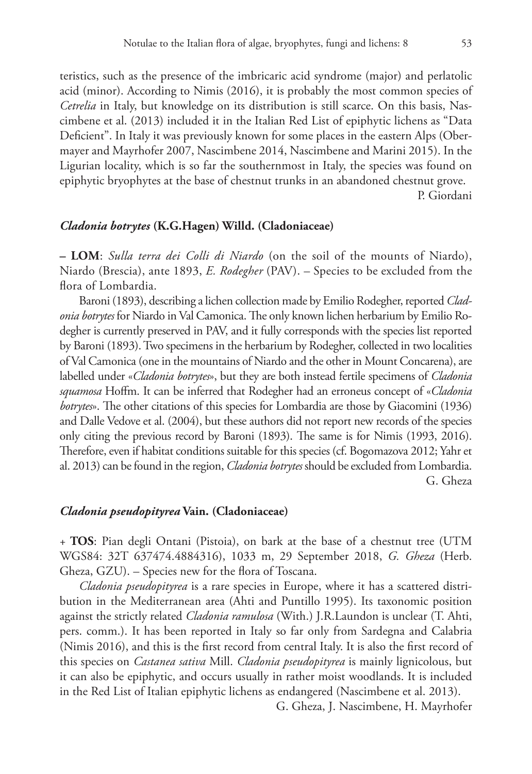teristics, such as the presence of the imbricaric acid syndrome (major) and perlatolic acid (minor). According to Nimis (2016), it is probably the most common species of *Cetrelia* in Italy, but knowledge on its distribution is still scarce. On this basis, Nascimbene et al. (2013) included it in the Italian Red List of epiphytic lichens as "Data Deficient". In Italy it was previously known for some places in the eastern Alps (Obermayer and Mayrhofer 2007, Nascimbene 2014, Nascimbene and Marini 2015). In the Ligurian locality, which is so far the southernmost in Italy, the species was found on epiphytic bryophytes at the base of chestnut trunks in an abandoned chestnut grove. P. Giordani

#### *Cladonia botrytes* **(K.G.Hagen) Willd. (Cladoniaceae)**

**– LOM**: *Sulla terra dei Colli di Niardo* (on the soil of the mounts of Niardo), Niardo (Brescia), ante 1893, *E. Rodegher* (PAV). – Species to be excluded from the flora of Lombardia.

Baroni (1893), describing a lichen collection made by Emilio Rodegher, reported *Cladonia botrytes* for Niardo in Val Camonica. The only known lichen herbarium by Emilio Rodegher is currently preserved in PAV, and it fully corresponds with the species list reported by Baroni (1893). Two specimens in the herbarium by Rodegher, collected in two localities of Val Camonica (one in the mountains of Niardo and the other in Mount Concarena), are labelled under «*Cladonia botrytes*», but they are both instead fertile specimens of *Cladonia squamosa* Hoffm. It can be inferred that Rodegher had an erroneus concept of «*Cladonia botrytes*». The other citations of this species for Lombardia are those by Giacomini (1936) and Dalle Vedove et al. (2004), but these authors did not report new records of the species only citing the previous record by Baroni (1893). The same is for Nimis (1993, 2016). Therefore, even if habitat conditions suitable for this species (cf. Bogomazova 2012; Yahr et al. 2013) can be found in the region, *Cladonia botrytes* should be excluded from Lombardia. G. Gheza

#### *Cladonia pseudopityrea* **Vain. (Cladoniaceae)**

+ **TOS**: Pian degli Ontani (Pistoia), on bark at the base of a chestnut tree (UTM WGS84: 32T 637474.4884316), 1033 m, 29 September 2018, *G. Gheza* (Herb. Gheza, GZU). – Species new for the flora of Toscana.

*Cladonia pseudopityrea* is a rare species in Europe, where it has a scattered distribution in the Mediterranean area (Ahti and Puntillo 1995). Its taxonomic position against the strictly related *Cladonia ramulosa* (With.) J.R.Laundon is unclear (T. Ahti, pers. comm.). It has been reported in Italy so far only from Sardegna and Calabria (Nimis 2016), and this is the first record from central Italy. It is also the first record of this species on *Castanea sativa* Mill. *Cladonia pseudopityrea* is mainly lignicolous, but it can also be epiphytic, and occurs usually in rather moist woodlands. It is included in the Red List of Italian epiphytic lichens as endangered (Nascimbene et al. 2013).

G. Gheza, J. Nascimbene, H. Mayrhofer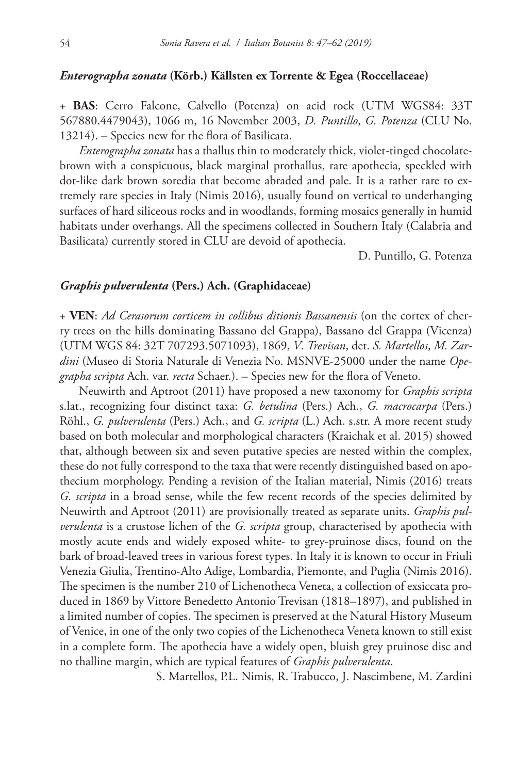#### *Enterographa zonata* **(Körb.) Källsten ex Torrente & Egea (Roccellaceae)**

+ **BAS**: Cerro Falcone, Calvello (Potenza) on acid rock (UTM WGS84: 33T 567880.4479043), 1066 m, 16 November 2003, *D. Puntillo*, *G. Potenza* (CLU No. 13214). – Species new for the flora of Basilicata.

*Enterographa zonata* has a thallus thin to moderately thick, violet-tinged chocolatebrown with a conspicuous, black marginal prothallus, rare apothecia, speckled with dot-like dark brown soredia that become abraded and pale. It is a rather rare to extremely rare species in Italy (Nimis 2016), usually found on vertical to underhanging surfaces of hard siliceous rocks and in woodlands, forming mosaics generally in humid habitats under overhangs. All the specimens collected in Southern Italy (Calabria and Basilicata) currently stored in CLU are devoid of apothecia.

D. Puntillo, G. Potenza

## *Graphis pulverulenta* **(Pers.) Ach. (Graphidaceae)**

+ **VEN**: *Ad Cerasorum corticem in collibus ditionis Bassanensis* (on the cortex of cherry trees on the hills dominating Bassano del Grappa), Bassano del Grappa (Vicenza) (UTM WGS 84: 32T 707293.5071093), 1869, *V*. *Trevisan*, det. *S. Martellos*, *M. Zardini* (Museo di Storia Naturale di Venezia No. MSNVE-25000 under the name *Opegrapha scripta* Ach. var. *recta* Schaer.). – Species new for the flora of Veneto.

Neuwirth and Aptroot (2011) have proposed a new taxonomy for *Graphis scripta* s.lat., recognizing four distinct taxa: *G. betulina* (Pers.) Ach., *G. macrocarpa* (Pers.) Röhl., *G. pulverulenta* (Pers.) Ach., and *G. scripta* (L.) Ach. s.str. A more recent study based on both molecular and morphological characters (Kraichak et al. 2015) showed that, although between six and seven putative species are nested within the complex, these do not fully correspond to the taxa that were recently distinguished based on apothecium morphology. Pending a revision of the Italian material, Nimis (2016) treats *G. scripta* in a broad sense, while the few recent records of the species delimited by Neuwirth and Aptroot (2011) are provisionally treated as separate units. *Graphis pulverulenta* is a crustose lichen of the *G. scripta* group, characterised by apothecia with mostly acute ends and widely exposed white- to grey-pruinose discs, found on the bark of broad-leaved trees in various forest types. In Italy it is known to occur in Friuli Venezia Giulia, Trentino-Alto Adige, Lombardia, Piemonte, and Puglia (Nimis 2016). The specimen is the number 210 of Lichenotheca Veneta, a collection of exsiccata produced in 1869 by Vittore Benedetto Antonio Trevisan (1818–1897), and published in a limited number of copies. The specimen is preserved at the Natural History Museum of Venice, in one of the only two copies of the Lichenotheca Veneta known to still exist in a complete form. The apothecia have a widely open, bluish grey pruinose disc and no thalline margin, which are typical features of *Graphis pulverulenta*.

S. Martellos, P.L. Nimis, R. Trabucco, J. Nascimbene, M. Zardini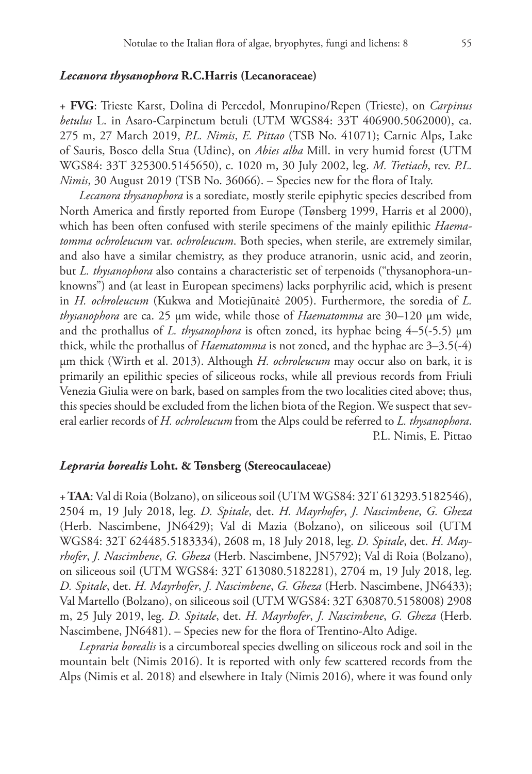#### *Lecanora thysanophora* **R.C.Harris (Lecanoraceae)**

+ **FVG**: Trieste Karst, Dolina di Percedol, Monrupino/Repen (Trieste), on *Carpinus betulus* L. in Asaro-Carpinetum betuli (UTM WGS84: 33T 406900.5062000), ca. 275 m, 27 March 2019, *P.L. Nimis*, *E. Pittao* (TSB No. 41071); Carnic Alps, Lake of Sauris, Bosco della Stua (Udine), on *Abies alba* Mill. in very humid forest (UTM WGS84: 33T 325300.5145650), c. 1020 m, 30 July 2002, leg. *M. Tretiach*, rev. *P.L. Nimis*, 30 August 2019 (TSB No. 36066). – Species new for the flora of Italy.

*Lecanora thysanophora* is a sorediate, mostly sterile epiphytic species described from North America and firstly reported from Europe (Tønsberg 1999, Harris et al 2000), which has been often confused with sterile specimens of the mainly epilithic *Haematomma ochroleucum* var. *ochroleucum*. Both species, when sterile, are extremely similar, and also have a similar chemistry, as they produce atranorin, usnic acid, and zeorin, but *L. thysanophora* also contains a characteristic set of terpenoids ("thysanophora-unknowns") and (at least in European specimens) lacks porphyrilic acid, which is present in *H. ochroleucum* (Kukwa and Motiejūnaitė 2005). Furthermore, the soredia of *L. thysanophora* are ca. 25 μm wide, while those of *Haematomma* are 30–120 μm wide, and the prothallus of *L. thysanophora* is often zoned, its hyphae being 4–5(-5.5) μm thick, while the prothallus of *Haematomma* is not zoned, and the hyphae are 3–3.5(-4) μm thick (Wirth et al. 2013). Although *H. ochroleucum* may occur also on bark, it is primarily an epilithic species of siliceous rocks, while all previous records from Friuli Venezia Giulia were on bark, based on samples from the two localities cited above; thus, this species should be excluded from the lichen biota of the Region. We suspect that several earlier records of *H. ochroleucum* from the Alps could be referred to *L. thysanophora*. P.L. Nimis, E. Pittao

## *Lepraria borealis* **Loht. & Tønsberg (Stereocaulaceae)**

+ **TAA**: Val di Roia (Bolzano), on siliceous soil (UTM WGS84: 32T 613293.5182546), 2504 m, 19 July 2018, leg. *D. Spitale*, det. *H. Mayrhofer*, *J. Nascimbene*, *G. Gheza* (Herb. Nascimbene, JN6429); Val di Mazia (Bolzano), on siliceous soil (UTM WGS84: 32T 624485.5183334), 2608 m, 18 July 2018, leg. *D. Spitale*, det. *H. Mayrhofer*, *J. Nascimbene*, *G. Gheza* (Herb. Nascimbene, JN5792); Val di Roia (Bolzano), on siliceous soil (UTM WGS84: 32T 613080.5182281), 2704 m, 19 July 2018, leg. *D. Spitale*, det. *H. Mayrhofer*, *J. Nascimbene*, *G. Gheza* (Herb. Nascimbene, JN6433); Val Martello (Bolzano), on siliceous soil (UTM WGS84: 32T 630870.5158008) 2908 m, 25 July 2019, leg. *D. Spitale*, det. *H. Mayrhofer*, *J. Nascimbene*, *G. Gheza* (Herb. Nascimbene, JN6481). – Species new for the flora of Trentino-Alto Adige.

*Lepraria borealis* is a circumboreal species dwelling on siliceous rock and soil in the mountain belt (Nimis 2016). It is reported with only few scattered records from the Alps (Nimis et al. 2018) and elsewhere in Italy (Nimis 2016), where it was found only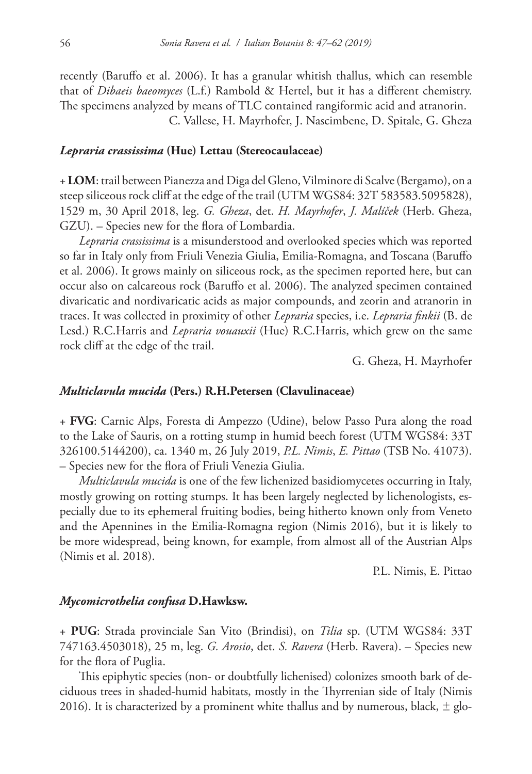recently (Baruffo et al. 2006). It has a granular whitish thallus, which can resemble that of *Dibaeis baeomyces* (L.f.) Rambold & Hertel, but it has a different chemistry. The specimens analyzed by means of TLC contained rangiformic acid and atranorin.

C. Vallese, H. Mayrhofer, J. Nascimbene, D. Spitale, G. Gheza

## *Lepraria crassissima* **(Hue) Lettau (Stereocaulaceae)**

+ **LOM**: trail between Pianezza and Diga del Gleno, Vilminore di Scalve (Bergamo), on a steep siliceous rock cliff at the edge of the trail (UTM WGS84: 32T 583583.5095828), 1529 m, 30 April 2018, leg. *G. Gheza*, det. *H. Mayrhofer*, *J. Malíček* (Herb. Gheza, GZU). – Species new for the flora of Lombardia.

*Lepraria crassissima* is a misunderstood and overlooked species which was reported so far in Italy only from Friuli Venezia Giulia, Emilia-Romagna, and Toscana (Baruffo et al. 2006). It grows mainly on siliceous rock, as the specimen reported here, but can occur also on calcareous rock (Baruffo et al. 2006). The analyzed specimen contained divaricatic and nordivaricatic acids as major compounds, and zeorin and atranorin in traces. It was collected in proximity of other *Lepraria* species, i.e. *Lepraria finkii* (B. de Lesd.) R.C.Harris and *Lepraria vouauxii* (Hue) R.C.Harris, which grew on the same rock cliff at the edge of the trail.

G. Gheza, H. Mayrhofer

## *Multiclavula mucida* **(Pers.) R.H.Petersen (Clavulinaceae)**

+ **FVG**: Carnic Alps, Foresta di Ampezzo (Udine), below Passo Pura along the road to the Lake of Sauris, on a rotting stump in humid beech forest (UTM WGS84: 33T 326100.5144200), ca. 1340 m, 26 July 2019, *P.L. Nimis*, *E. Pittao* (TSB No. 41073). – Species new for the flora of Friuli Venezia Giulia.

*Multiclavula mucida* is one of the few lichenized basidiomycetes occurring in Italy, mostly growing on rotting stumps. It has been largely neglected by lichenologists, especially due to its ephemeral fruiting bodies, being hitherto known only from Veneto and the Apennines in the Emilia-Romagna region (Nimis 2016), but it is likely to be more widespread, being known, for example, from almost all of the Austrian Alps (Nimis et al. 2018).

P.L. Nimis, E. Pittao

## *Mycomicrothelia confusa* **D.Hawksw.**

+ **PUG**: Strada provinciale San Vito (Brindisi), on *Tilia* sp. (UTM WGS84: 33T 747163.4503018), 25 m, leg. *G. Arosio*, det. *S. Ravera* (Herb. Ravera). – Species new for the flora of Puglia.

This epiphytic species (non- or doubtfully lichenised) colonizes smooth bark of deciduous trees in shaded-humid habitats, mostly in the Thyrrenian side of Italy (Nimis 2016). It is characterized by a prominent white thallus and by numerous, black,  $\pm$  glo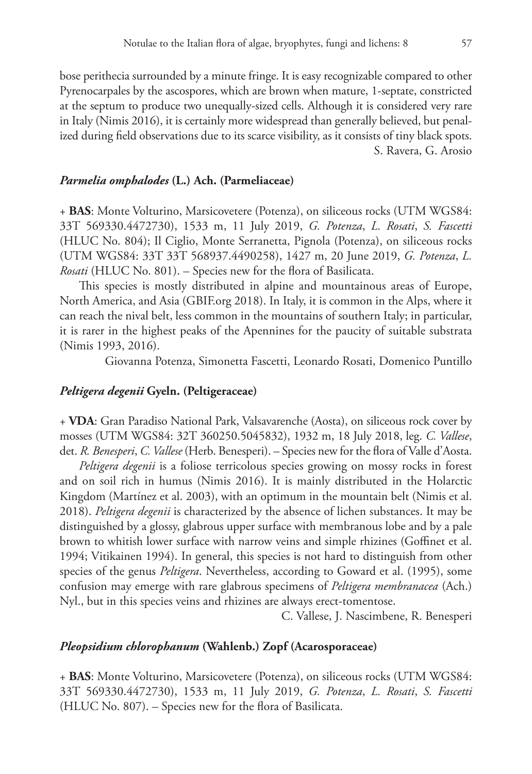bose perithecia surrounded by a minute fringe. It is easy recognizable compared to other Pyrenocarpales by the ascospores, which are brown when mature, 1-septate, constricted at the septum to produce two unequally-sized cells. Although it is considered very rare in Italy (Nimis 2016), it is certainly more widespread than generally believed, but penalized during field observations due to its scarce visibility, as it consists of tiny black spots. S. Ravera, G. Arosio

## *Parmelia omphalodes* **(L.) Ach. (Parmeliaceae)**

+ **BAS**: Monte Volturino, Marsicovetere (Potenza), on siliceous rocks (UTM WGS84: 33T 569330.4472730), 1533 m, 11 July 2019, *G. Potenza*, *L. Rosati*, *S. Fascetti* (HLUC No. 804); Il Ciglio, Monte Serranetta, Pignola (Potenza), on siliceous rocks (UTM WGS84: 33T 33T 568937.4490258), 1427 m, 20 June 2019, *G. Potenza*, *L. Rosati* (HLUC No. 801). – Species new for the flora of Basilicata.

This species is mostly distributed in alpine and mountainous areas of Europe, North America, and Asia (GBIF.org 2018). In Italy, it is common in the Alps, where it can reach the nival belt, less common in the mountains of southern Italy; in particular, it is rarer in the highest peaks of the Apennines for the paucity of suitable substrata (Nimis 1993, 2016).

Giovanna Potenza, Simonetta Fascetti, Leonardo Rosati, Domenico Puntillo

## *Peltigera degenii* **Gyeln. (Peltigeraceae)**

+ **VDA**: Gran Paradiso National Park, Valsavarenche (Aosta), on siliceous rock cover by mosses (UTM WGS84: 32T 360250.5045832), 1932 m, 18 July 2018, leg. *C. Vallese*, det. *R. Benesperi*, *C. Vallese* (Herb. Benesperi). – Species new for the flora of Valle d'Aosta.

*Peltigera degenii* is a foliose terricolous species growing on mossy rocks in forest and on soil rich in humus (Nimis 2016). It is mainly distributed in the Holarctic Kingdom (Martínez et al. 2003), with an optimum in the mountain belt (Nimis et al. 2018). *Peltigera degenii* is characterized by the absence of lichen substances. It may be distinguished by a glossy, glabrous upper surface with membranous lobe and by a pale brown to whitish lower surface with narrow veins and simple rhizines (Goffinet et al. 1994; Vitikainen 1994). In general, this species is not hard to distinguish from other species of the genus *Peltigera*. Nevertheless, according to Goward et al. (1995), some confusion may emerge with rare glabrous specimens of *Peltigera membranacea* (Ach.) Nyl., but in this species veins and rhizines are always erect-tomentose.

C. Vallese, J. Nascimbene, R. Benesperi

# *Pleopsidium chlorophanum* **(Wahlenb.) Zopf (Acarosporaceae)**

+ **BAS**: Monte Volturino, Marsicovetere (Potenza), on siliceous rocks (UTM WGS84: 33T 569330.4472730), 1533 m, 11 July 2019, *G. Potenza*, *L. Rosati*, *S. Fascetti* (HLUC No. 807). – Species new for the flora of Basilicata.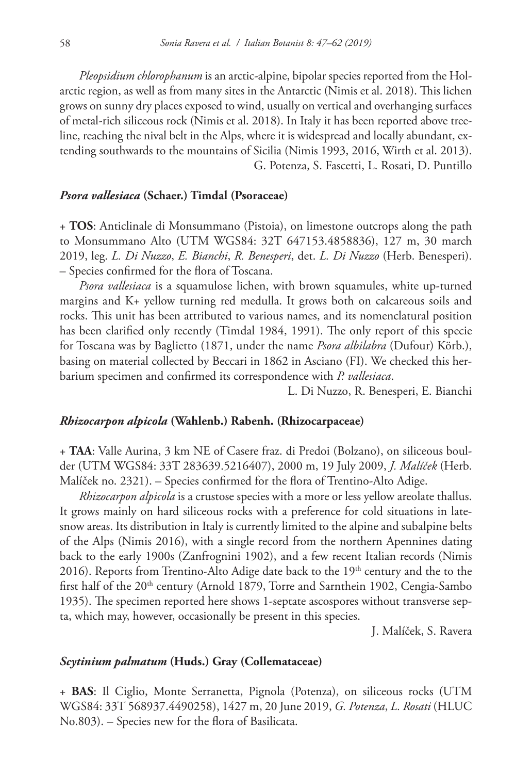*Pleopsidium chlorophanum* is an arctic-alpine, bipolar species reported from the Holarctic region, as well as from many sites in the Antarctic (Nimis et al. 2018). This lichen grows on sunny dry places exposed to wind, usually on vertical and overhanging surfaces of metal-rich siliceous rock (Nimis et al. 2018). In Italy it has been reported above treeline, reaching the nival belt in the Alps, where it is widespread and locally abundant, extending southwards to the mountains of Sicilia (Nimis 1993, 2016, Wirth et al. 2013). G. Potenza, S. Fascetti, L. Rosati, D. Puntillo

## *Psora vallesiaca* **(Schaer.) Timdal (Psoraceae)**

+ **TOS**: Anticlinale di Monsummano (Pistoia), on limestone outcrops along the path to Monsummano Alto (UTM WGS84: 32T 647153.4858836), 127 m, 30 march 2019, leg. *L. Di Nuzzo*, *E. Bianchi*, *R. Benesperi*, det. *L. Di Nuzzo* (Herb. Benesperi). – Species confirmed for the flora of Toscana.

*Psora vallesiaca* is a squamulose lichen, with brown squamules, white up-turned margins and K+ yellow turning red medulla. It grows both on calcareous soils and rocks. This unit has been attributed to various names, and its nomenclatural position has been clarified only recently (Timdal 1984, 1991). The only report of this specie for Toscana was by Baglietto (1871, under the name *Psora albilabra* (Dufour) Körb.), basing on material collected by Beccari in 1862 in Asciano (FI). We checked this herbarium specimen and confirmed its correspondence with *P. vallesiaca*.

L. Di Nuzzo, R. Benesperi, E. Bianchi

#### *Rhizocarpon alpicola* **(Wahlenb.) Rabenh. (Rhizocarpaceae)**

+ **TAA**: Valle Aurina, 3 km NE of Casere fraz. di Predoi (Bolzano), on siliceous boulder (UTM WGS84: 33T 283639.5216407), 2000 m, 19 July 2009, *J. Malíček* (Herb. Malíček no. 2321). – Species confirmed for the flora of Trentino-Alto Adige.

*Rhizocarpon alpicola* is a crustose species with a more or less yellow areolate thallus. It grows mainly on hard siliceous rocks with a preference for cold situations in latesnow areas. Its distribution in Italy is currently limited to the alpine and subalpine belts of the Alps (Nimis 2016), with a single record from the northern Apennines dating back to the early 1900s (Zanfrognini 1902), and a few recent Italian records (Nimis 2016). Reports from Trentino-Alto Adige date back to the  $19<sup>th</sup>$  century and the to the first half of the 20<sup>th</sup> century (Arnold 1879, Torre and Sarnthein 1902, Cengia-Sambo 1935). The specimen reported here shows 1-septate ascospores without transverse septa, which may, however, occasionally be present in this species.

J. Malíček, S. Ravera

#### *Scytinium palmatum* **(Huds.) Gray (Collemataceae)**

+ **BAS**: Il Ciglio, Monte Serranetta, Pignola (Potenza), on siliceous rocks (UTM WGS84: 33T 568937.4490258), 1427 m, 20 June 2019, *G. Potenza*, *L. Rosati* (HLUC No.803). – Species new for the flora of Basilicata.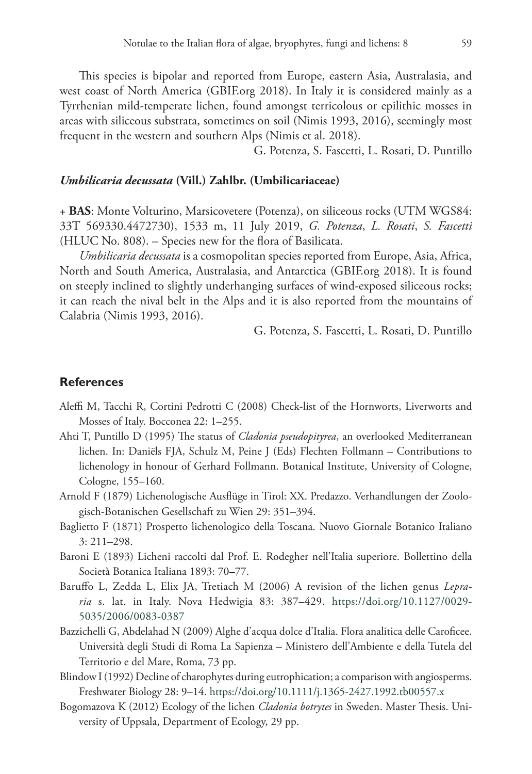This species is bipolar and reported from Europe, eastern Asia, Australasia, and west coast of North America (GBIF.org 2018). In Italy it is considered mainly as a Tyrrhenian mild-temperate lichen, found amongst terricolous or epilithic mosses in areas with siliceous substrata, sometimes on soil (Nimis 1993, 2016), seemingly most frequent in the western and southern Alps (Nimis et al. 2018).

G. Potenza, S. Fascetti, L. Rosati, D. Puntillo

#### *Umbilicaria decussata* **(Vill.) Zahlbr. (Umbilicariaceae)**

+ **BAS**: Monte Volturino, Marsicovetere (Potenza), on siliceous rocks (UTM WGS84: 33T 569330.4472730), 1533 m, 11 July 2019, *G. Potenza*, *L. Rosati*, *S. Fascetti* (HLUC No. 808). – Species new for the flora of Basilicata.

*Umbilicaria decussata* is a cosmopolitan species reported from Europe, Asia, Africa, North and South America, Australasia, and Antarctica (GBIF.org 2018). It is found on steeply inclined to slightly underhanging surfaces of wind-exposed siliceous rocks; it can reach the nival belt in the Alps and it is also reported from the mountains of Calabria (Nimis 1993, 2016).

G. Potenza, S. Fascetti, L. Rosati, D. Puntillo

## **References**

- Aleffi M, Tacchi R, Cortini Pedrotti C (2008) Check-list of the Hornworts, Liverworts and Mosses of Italy. Bocconea 22: 1–255.
- Ahti T, Puntillo D (1995) The status of *Cladonia pseudopityrea*, an overlooked Mediterranean lichen. In: Daniëls FJA, Schulz M, Peine J (Eds) Flechten Follmann – Contributions to lichenology in honour of Gerhard Follmann. Botanical Institute, University of Cologne, Cologne, 155–160.
- Arnold F (1879) Lichenologische Ausflüge in Tirol: XX. Predazzo. Verhandlungen der Zoologisch-Botanischen Gesellschaft zu Wien 29: 351–394.
- Baglietto F (1871) Prospetto lichenologico della Toscana. Nuovo Giornale Botanico Italiano 3: 211–298.
- Baroni E (1893) Licheni raccolti dal Prof. E. Rodegher nell'Italia superiore. Bollettino della Società Botanica Italiana 1893: 70–77.
- Baruffo L, Zedda L, Elix JA, Tretiach M (2006) A revision of the lichen genus *Lepraria* s. lat. in Italy. Nova Hedwigia 83: 387–429. [https://doi.org/10.1127/0029-](https://doi.org/10.1127/0029-5035/2006/0083-0387) [5035/2006/0083-0387](https://doi.org/10.1127/0029-5035/2006/0083-0387)
- Bazzichelli G, Abdelahad N (2009) Alghe d'acqua dolce d'Italia. Flora analitica delle Caroficee. Università degli Studi di Roma La Sapienza – Ministero dell'Ambiente e della Tutela del Territorio e del Mare, Roma, 73 pp.
- Blindow I (1992) Decline of charophytes during eutrophication; a comparison with angiosperms. Freshwater Biology 28: 9–14.<https://doi.org/10.1111/j.1365-2427.1992.tb00557.x>
- Bogomazova K (2012) Ecology of the lichen *Cladonia botrytes* in Sweden. Master Thesis. University of Uppsala, Department of Ecology, 29 pp.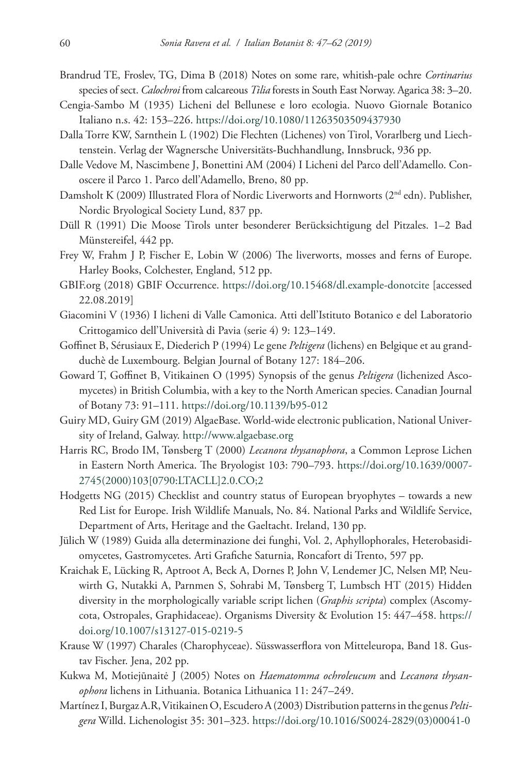- Brandrud TE, Froslev, TG, Dima B (2018) Notes on some rare, whitish-pale ochre *Cortinarius*  species of sect. *Calochroi* from calcareous *Tilia* forests in South East Norway. Agarica 38: 3–20.
- Cengia-Sambo M (1935) Licheni del Bellunese e loro ecologia. Nuovo Giornale Botanico Italiano n.s. 42: 153–226.<https://doi.org/10.1080/11263503509437930>
- Dalla Torre KW, Sarnthein L (1902) Die Flechten (Lichenes) von Tirol, Vorarlberg und Liechtenstein. Verlag der Wagnersche Universitäts-Buchhandlung, Innsbruck, 936 pp.
- Dalle Vedove M, Nascimbene J, Bonettini AM (2004) I Licheni del Parco dell'Adamello. Conoscere il Parco 1. Parco dell'Adamello, Breno, 80 pp.
- Damsholt K (2009) Illustrated Flora of Nordic Liverworts and Hornworts (2nd edn). Publisher, Nordic Bryological Society Lund, 837 pp.
- Düll R (1991) Die Moose Tirols unter besonderer Berücksichtigung del Pitzales. 1–2 Bad Münstereifel, 442 pp.
- Frey W, Frahm J P, Fischer E, Lobin W (2006) The liverworts, mosses and ferns of Europe. Harley Books, Colchester, England, 512 pp.
- GBIF.org (2018) GBIF Occurrence. <https://doi.org/10.15468/dl.example-donotcite>[accessed 22.08.2019]
- Giacomini V (1936) I licheni di Valle Camonica. Atti dell'Istituto Botanico e del Laboratorio Crittogamico dell'Università di Pavia (serie 4) 9: 123–149.
- Goffinet B, Sérusiaux E, Diederich P (1994) Le gene *Peltigera* (lichens) en Belgique et au grandduchè de Luxembourg. Belgian Journal of Botany 127: 184–206.
- Goward T, Goffinet B, Vitikainen O (1995) Synopsis of the genus *Peltigera* (lichenized Ascomycetes) in British Columbia, with a key to the North American species. Canadian Journal of Botany 73: 91–111. <https://doi.org/10.1139/b95-012>
- Guiry MD, Guiry GM (2019) AlgaeBase. World-wide electronic publication, National University of Ireland, Galway. <http://www.algaebase.org>
- Harris RC, Brodo IM, Tønsberg T (2000) *Lecanora thysanophora*, a Common Leprose Lichen in Eastern North America. The Bryologist 103: 790–793. [https://doi.org/10.1639/0007-](https://doi.org/10.1639/0007-2745(2000)103%5B0790:LTACLL%5D2.0.CO;2) [2745\(2000\)103\[0790:LTACLL\]2.0.CO;2](https://doi.org/10.1639/0007-2745(2000)103%5B0790:LTACLL%5D2.0.CO;2)
- Hodgetts NG (2015) Checklist and country status of European bryophytes towards a new Red List for Europe. Irish Wildlife Manuals, No. 84. National Parks and Wildlife Service, Department of Arts, Heritage and the Gaeltacht. Ireland, 130 pp.
- Jülich W (1989) Guida alla determinazione dei funghi, Vol. 2, Aphyllophorales, Heterobasidiomycetes, Gastromycetes. Arti Grafiche Saturnia, Roncafort di Trento, 597 pp.
- Kraichak E, Lücking R, Aptroot A, Beck A, Dornes P, John V, Lendemer JC, Nelsen MP, Neuwirth G, Nutakki A, Parnmen S, Sohrabi M, Tønsberg T, Lumbsch HT (2015) Hidden diversity in the morphologically variable script lichen (*Graphis scripta*) complex (Ascomycota, Ostropales, Graphidaceae). Organisms Diversity & Evolution 15: 447–458. [https://](https://doi.org/10.1007/s13127-015-0219-5) [doi.org/10.1007/s13127-015-0219-5](https://doi.org/10.1007/s13127-015-0219-5)
- Krause W (1997) Charales (Charophyceae). Süsswasserflora von Mitteleuropa, Band 18. Gustav Fischer. Jena, 202 pp.
- Kukwa M, Motiejūnaitė J (2005) Notes on *Haematomma ochroleucum* and *Lecanora thysanophora* lichens in Lithuania. Botanica Lithuanica 11: 247–249.
- Martínez I, Burgaz A.R, Vitikainen O, Escudero A (2003) Distribution patterns in the genus *Peltigera* Willd. Lichenologist 35: 301–323. [https://doi.org/10.1016/S0024-2829\(03\)00041-0](https://doi.org/10.1016/S0024-2829(03)00041-0)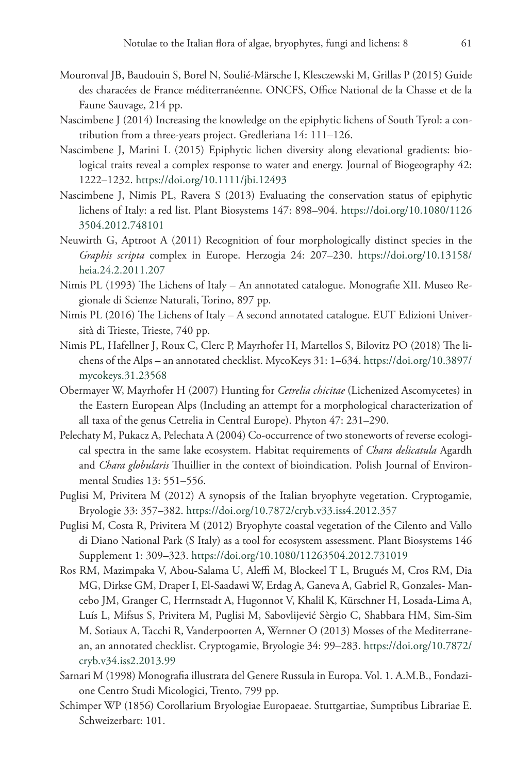- Mouronval JB, Baudouin S, Borel N, Soulié-Märsche I, Klesczewski M, Grillas P (2015) Guide des characées de France méditerranéenne. ONCFS, Office National de la Chasse et de la Faune Sauvage, 214 pp.
- Nascimbene J (2014) Increasing the knowledge on the epiphytic lichens of South Tyrol: a contribution from a three-years project. Gredleriana 14: 111–126.
- Nascimbene J, Marini L (2015) Epiphytic lichen diversity along elevational gradients: biological traits reveal a complex response to water and energy. Journal of Biogeography 42: 1222–1232.<https://doi.org/10.1111/jbi.12493>
- Nascimbene J, Nimis PL, Ravera S (2013) Evaluating the conservation status of epiphytic lichens of Italy: a red list. Plant Biosystems 147: 898–904. [https://doi.org/10.1080/1126](https://doi.org/10.1080/11263504.2012.748101) [3504.2012.748101](https://doi.org/10.1080/11263504.2012.748101)
- Neuwirth G, Aptroot A (2011) Recognition of four morphologically distinct species in the *Graphis scripta* complex in Europe. Herzogia 24: 207–230. [https://doi.org/10.13158/](https://doi.org/10.13158/heia.24.2.2011.207) [heia.24.2.2011.207](https://doi.org/10.13158/heia.24.2.2011.207)
- Nimis PL (1993) The Lichens of Italy An annotated catalogue. Monografie XII. Museo Regionale di Scienze Naturali, Torino, 897 pp.
- Nimis PL (2016) The Lichens of Italy A second annotated catalogue. EUT Edizioni Università di Trieste, Trieste, 740 pp.
- Nimis PL, Hafellner J, Roux C, Clerc P, Mayrhofer H, Martellos S, Bilovitz PO (2018) The lichens of the Alps – an annotated checklist. MycoKeys 31: 1–634. [https://doi.org/10.3897/](https://doi.org/10.3897/mycokeys.31.23568) [mycokeys.31.23568](https://doi.org/10.3897/mycokeys.31.23568)
- Obermayer W, Mayrhofer H (2007) Hunting for *Cetrelia chicitae* (Lichenized Ascomycetes) in the Eastern European Alps (Including an attempt for a morphological characterization of all taxa of the genus Cetrelia in Central Europe). Phyton 47: 231–290.
- Pelechaty M, Pukacz A, Pelechata A (2004) Co-occurrence of two stoneworts of reverse ecological spectra in the same lake ecosystem. Habitat requirements of *Chara delicatula* Agardh and *Chara globularis* Thuillier in the context of bioindication. Polish Journal of Environmental Studies 13: 551–556.
- Puglisi M, Privitera M (2012) A synopsis of the Italian bryophyte vegetation. Cryptogamie, Bryologie 33: 357–382. <https://doi.org/10.7872/cryb.v33.iss4.2012.357>
- Puglisi M, Costa R, Privitera M (2012) Bryophyte coastal vegetation of the Cilento and Vallo di Diano National Park (S Italy) as a tool for ecosystem assessment. Plant Biosystems 146 Supplement 1: 309–323.<https://doi.org/10.1080/11263504.2012.731019>
- Ros RM, Mazimpaka V, Abou-Salama U, Aleffi M, Blockeel T L, Brugués M, Cros RM, Dia MG, Dirkse GM, Draper I, El-Saadawi W, Erdag A, Ganeva A, Gabriel R, Gonzales- Mancebo JM, Granger C, Herrnstadt A, Hugonnot V, Khalil K, Kürschner H, Losada-Lima A, Luís L, Mifsus S, Privitera M, Puglisi M, Sabovlijević Sèrgio C, Shabbara HM, Sim-Sim M, Sotiaux A, Tacchi R, Vanderpoorten A, Wernner O (2013) Mosses of the Mediterranean, an annotated checklist. Cryptogamie, Bryologie 34: 99–283. [https://doi.org/10.7872/](https://doi.org/10.7872/cryb.v34.iss2.2013.99) [cryb.v34.iss2.2013.99](https://doi.org/10.7872/cryb.v34.iss2.2013.99)
- Sarnari M (1998) Monografia illustrata del Genere Russula in Europa. Vol. 1. A.M.B., Fondazione Centro Studi Micologici, Trento, 799 pp.
- Schimper WP (1856) Corollarium Bryologiae Europaeae. Stuttgartiae, Sumptibus Librariae E. Schweizerbart: 101.